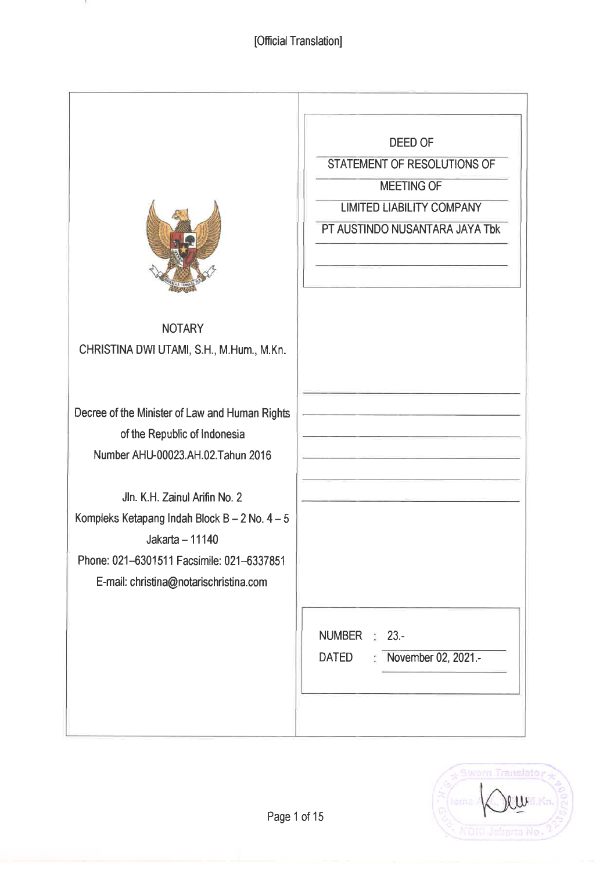-99

|                                                                                                                                                                                          | DEED OF<br>STATEMENT OF RESOLUTIONS OF<br><b>MEETING OF</b><br><b>LIMITED LIABILITY COMPANY</b><br>PT AUSTINDO NUSANTARA JAYA Tbk |
|------------------------------------------------------------------------------------------------------------------------------------------------------------------------------------------|-----------------------------------------------------------------------------------------------------------------------------------|
| <b>NOTARY</b><br>CHRISTINA DWI UTAMI, S.H., M.Hum., M.Kn.                                                                                                                                |                                                                                                                                   |
| Decree of the Minister of Law and Human Rights<br>of the Republic of Indonesia<br>Number AHU-00023.AH.02.Tahun 2016                                                                      |                                                                                                                                   |
| Jln. K.H. Zainul Arifin No. 2<br>Kompleks Ketapang Indah Block B - 2 No. $4-5$<br>Jakarta - 11140<br>Phone: 021-6301511 Facsimile: 021-6337851<br>E-mail: christina@notarischristina.com |                                                                                                                                   |
|                                                                                                                                                                                          | <b>NUMBER</b><br>$\frac{1}{2}$ 23.-<br>November 02, 2021.-<br><b>DATED</b><br>t.                                                  |

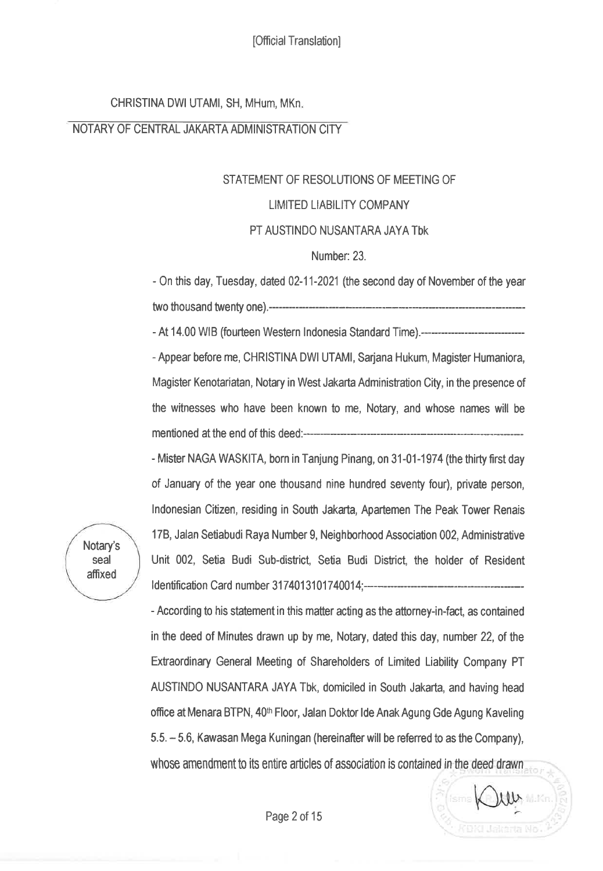CHRISTINA DWI UTAMI, SH, MHum, MKn

#### NOTARY OF CENTRAL JAKARTA ADMINISTRATION CITY

# STATEMENT OF RESOLUTIONS OF MEETING OF LIMITED LIABILITY COMPANY

#### PT AUSTINDO NUSANTARA JAYA TbK

### Number: 23.

- 0n this day, Tuesday, dated 02-11-2021 (the second day of November of the year two thousand twenty one).-----

- At 14.00 WIB (fourteen Western Indonesia Standard Time).-------------------------------

- Appear before me, CHRISTINA DWI UTAMI, Sarjana Hukum, Magister Humaniora, Magister Kenotariatan, Notary in West Jakarta Adminisfation City, in the presence of the witnesses who have been known to me, Notary, and whose names will be mentioned at the end of this deed:-----------

- Mister NAGA WASKITA, born in Tanjung Pinang, on 31-01-1974 (the thirty first day of January of the year one thousand nine hundred seventy four), private person, lndonesian Citizen, residing in South Jakarta, Apartemen The Peak Tower Renais 178, Jalan Setiabudi Raya Number 9, Neighborhood Association 002, Administrative Unit 002, Setia Budi Sub-disfict, Setia Budi District, the holder of Resident Identification Card number 3174013101740014;--------------------

- According to his statement in this matter acting as the attorney-in-fact, as contained in the deed of Minutes drawn up by me, Notary, dated this day, number 22, of the Extraordinary General Meeting of Shareholders of Limited Liability Company PT AUSTINDO NUSANTARA JAYA Tbk, domiciled in South Jakarta, and having head office at Menara BTPN, 40<sup>th</sup> Floor, Jalan Doktor Ide Anak Agung Gde Agung Kaveling 5.5. - 5.6, Kawasan Mega Kuningan (hereinafrerwill be referred to as the Company), whose amendment to its entire articles of association is contained in the deed drawn

 $\mathcal{W}$ 

Notary's seal affixed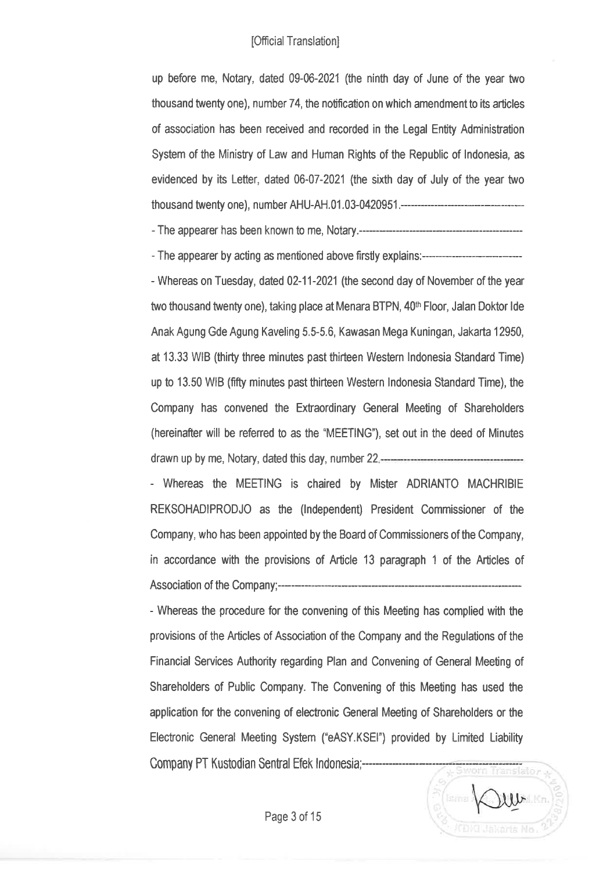up before me, Notary, dated 09-06-2021 (the ninth day of June of the year two thousand twenty one), number 74, the notification on which amendment to its articles of association has been received and recorded in the Legal Entity Administration System of the Ministry of Law and Human Rights of the Republic of lndonesia, as evidenced by its Letter, dated 06-07-2021 (the sixth day of July of the year two thousand twenty one), n umber AHU-AH. 01 . 03-042095 1 .-------------

- The appearer has been known to me, Notary.---

- The appearer by acting as mentioned above firstly explains:-----\*

- Whereas on Tuesday, dated 02-11-2021(the second day of November of the year two thousand twenty one), taking place at Menara BTPN, 40<sup>th</sup> Floor, Jalan Doktor Ide Anak Agung Gde Agung Kaveling 5.5-5.6, Kawasan Mega Kuningan, Jakarta 12950, at 13.33 WIB (thirty three minutes past thirteen Western lndonesia Standard Time) up to 13.50 WB (nfty minutes past thirteen Western lndonesia Standard Time), the Company has convened the Extraordinary General Meeting of Shareholders (hereinafter will be referred to as the "MEETING"), set out in the deed of Minutes drawn up by me, Notary, dated this day, number 22

- Whereas the MEETING is chaired by Mister ADRIANTO MACHRIBIE REKSOHADIPRODJO as the (lndependent) President Commissioner of the Company, who has been appointed by the Board of Commissioners of the Company, in accordance with the provisions of Article 13 paragraph 1 of the Articles of Association of the Company;--------

- Whereas the procedure for the convening of this Meeting has complied with the provisions of the Articles of Association of the Company and the Regulations of the Financial Services Authority regarding Plan and Convening of General Meeting of Shareholders of Public Company. The Convening of this Meeting has used the application for the convening of elecfonic General Meeting of Shareholders or the Electronic General Meeting System ("eASY.KSEI') provided by Limited Liability Company PT Kustodian Sental Efek lndonesia;--------------:-----------:----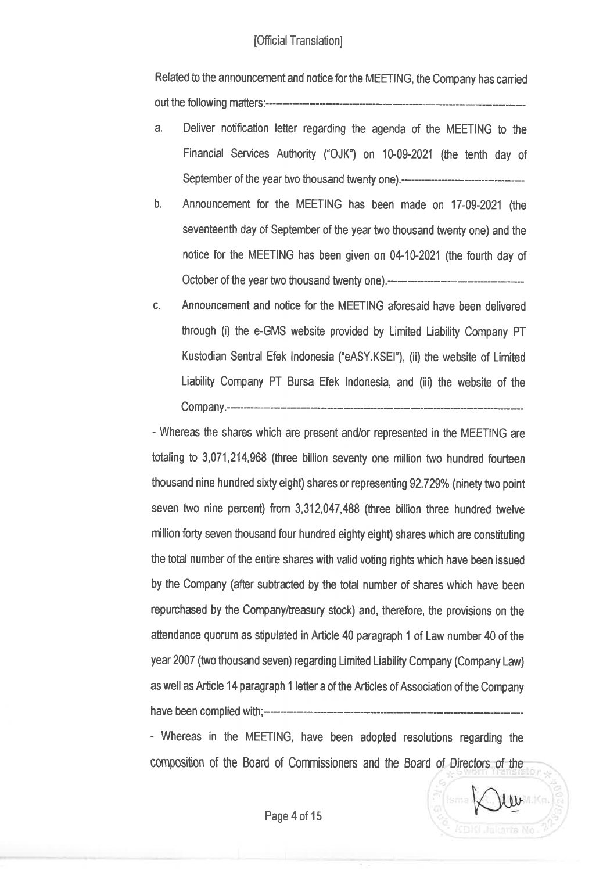Refated to the announcement and notice for the MEETING, the Company has carríed out the following matters:---

- a. Deliver notification letter regarding the agenda of the MEETING to the Financial Services Authority ("OJK") on 10-09-2021 (the tenth day of September of the year two thousand twenty one).-----
- b. Announcement for the MEETING has been made on 17-09-2021 (the seventeenth day of September of the year two thousand twenty one) and the notice for the MEETING has been given on 04-10-2021 (the fourth day of October of the year two thousand twenty one).-----
- c. Announcement and notice for the MEFIING aforesaid have been delivered through (i) the e-GMS website provided by Limited Liability Company PT Kustodian Sentral Efek Indonesia ("eASY.KSEI"), (ii) the website of Limited Liability Company PT Bursa Efek lndonesia, and (iii) the website of the Company.-

- Whereas the shares which are præent and/or represented in the MEETING are totaling to 3,071,214,968 (three billion seventy one million two hundred fourteen thousand nine hundred sixty eight) shares or representing 92.729% (ninety two point seven two nine percent) from 3,312,047,488 (three billion three hundred twelve million forty seven thousand four hundred eighty eight) shares which are constituting the total number of the entire shares with valid voting rights which have been issued by the Company (afier subfæted by the total number of shares which have been repurchased by the Company/treasury stock) and, therefore, the provisions on the attendance quorum as stipulated in Article 40 paragraph 1 of Law number 40 of the year 2007 (two thousand seven) regarding Limited Liability Company (Company Law) as well as Article 14 paragraph 1 letter a of the Articles of Association of the Company have been complied with;--------------------

- Whereas in the MEETING, have been adopted resolutions regarding the composition of the Board of Commisioners and the Board of Directors of the

 $\mathcal{W}$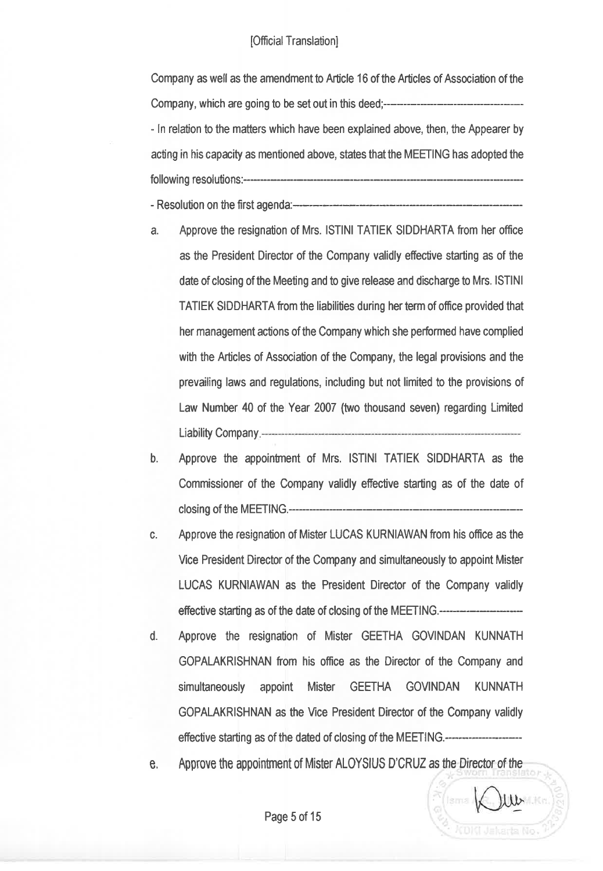Company as well as the amendment to Article 16 of the Articles of Association of the Company, which are going to be set out in this deed; - ln relation to the matters which have been explained above, then, the Appearer by acting in his capacity as mentioned above, states that the MEETING has adopted the followin g resolutions:-

- Resolution on the first agenda:----------

- a. Approve the resignation of Mrs. lSTlNl TATIEK SIDDHARTA from her office as the President Director of the Company validly efiective starting as of the date of closing of the Meeting and to give release and diæharge to Mrs. lSTlNl TATIEK SIDDHARTA fom the liabilities during her term of office provided that her management acüons of the Company which she performed have complied with the Articles of Association of the Company, the legal provisions and the prevailing laws and regulaüons, including but not limited to the provisions of Law Number 40 of the Year 2007 (two thousand seven) regarding Limited Liability Company.
- b. Approve the appointnent of Mrs. lSTlNl TATIEK SIDDHARTA as the Commissioner of the Company validly effective starting as of the date of closing of the MEETING.--------
- c. Approve the resignation of Mister LUCAS KURNIAWAN from his office as the Vice President Director of the Company and simultaneously to appoint Mister LUCAS KURNIAWAN as the President Director of the Company validly effective starting as of the date of closing of the MEETING.---------------------------
- d. Approve the resignation of Mister GEETHA GOVINDAN KUNNATH GOPALAKRISHNAN from his ofüce as the Director of the Company and simultaneously appoint Mister GEETHA GOVINDAN KUNNATH GOPALAKRISHNAN as the Vice President Director of the Company validly effective starting as of the dated of closing of the MEETING.-

e, Approve the appoinfnent of Mister ALOYSIUS D'CRUZ as the Director of the

 $\mathbf{w}$ 

KDKI Jakarta No.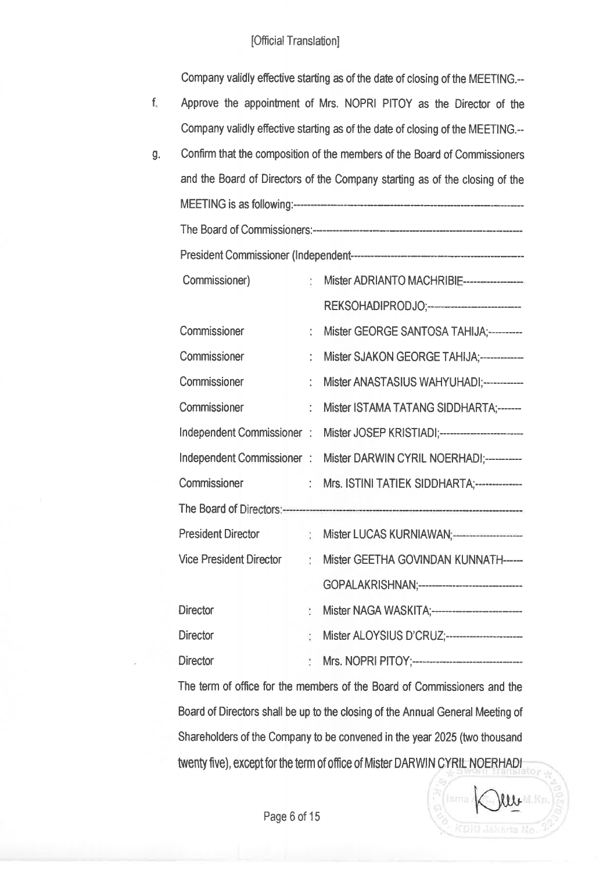Company vafidfy effective starting æ of the date of closing of the MEETING.--

- f. Approve the appointnent of Mrs. NOPRI PITOY as the Director of the Company validly efiective starting as of the date of closing of the MEETING.--
- g Confirm that the composition of the members of the Board of Commissioners and the Board of Directors of the Company starting as of the closing of the MEETING is as following:------\*- The Board of Commissioners:---- President Commissioner (l ndependent------- Commissioner) Mister ADRIANTO MACHRIBI REKSOHADIPRODJO;----------------------------Commissioner : Mister GEORGE SANTOSA TAHIJA;----------Commissioner : Mister SJAKON GEORGE TAHIJA;-------------Commissioner : Mister ANASTASIUS WAHYUHADI;------------Commissioner : Mister ISTAMA TATANG SIDDHARTA:------Independent Commissioner : Mister JOSEP KRISTIADI;-------------------------Independent Commissioner : Mister DARWIN CYRIL NOERHADI;-----------Commissioner : Mrs. ISTINI TATIEK SIDDHARTA;--------------The Board of Directors:---------President Dirætor Mister LUCAS KURNIAWAN Vice President Director Mister GEETHA GOVINDAN KUNNATH-----GOPALAKRISHNAN;---------------------------------Director Mister NAGAWASKITA;- Director Mister ALOYSIUS D'CRUZ;-- Director Mrs. NOPRIPITOY;-\*-

The term of office for the members of the Board of Commissioners and the Board of Directors shall be up to the closing of the Annual General Meeting of Shareholders of the Company to be convened in the year 2025 (two thousand twenty five), except for the term of office of Mister DARWIN CYRIL NOERHADI

 $\mathcal{W}$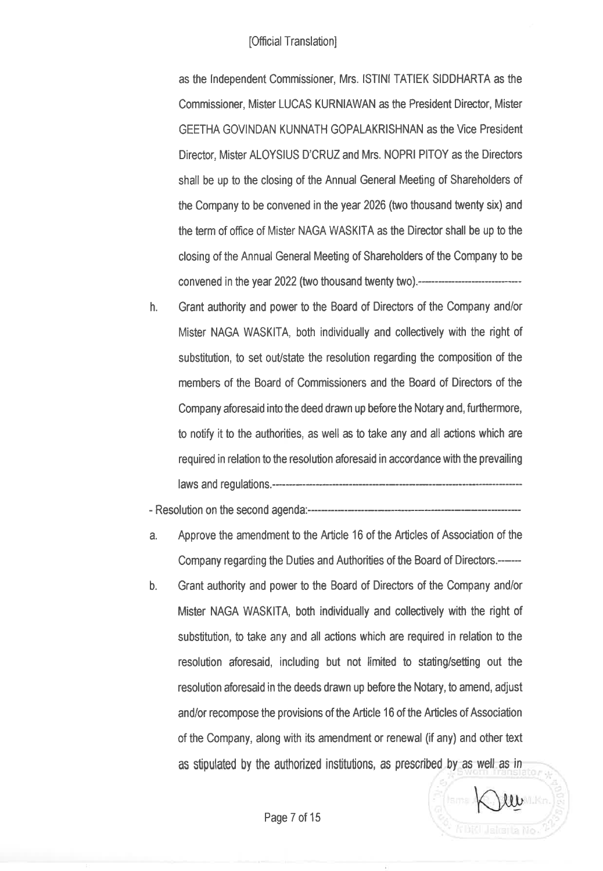as the Independent Commissioner, Mrs. ISTINI TATIEK SIDDHARTA as the Commissioner, Mister LUCAS KURNIAWAN as the President Director, Mister GEETHA GOVINDAN KUNNATH GOPALAKRISHNAN as the Vice President Director, Mister ALOYSIUS D'CRUZ and Mrs. NOPRI PITOY as the Directors shall be up to the closing of the Annual General Meeting of Shareholders of the Company to be convened in the year 2026 (two thousand twenty six) and the term of office of Mister NAGA WASKITA as the Director shall be up to the closing of the Annual General Meeting of Shareholders of the Company to be convened in the year 2022 (two thousand twenty two).----------------------------------

h. Grant authority and power to the Board of Directors of the Company andlor Mister NAGA WASKITA, both individually and collectively with the right of substitution, to set out/state the resolution regarding the composition of the members of the Board of Commissioners and the Board of Directors of the Company aforesaid into the deed drawn up before the Notary and, furthermore, to notify it to the authorities, as well as to take any and all actions which are required in relation to the resolution aforesaid in accordance with the prevailing laws and regulations.-

- Resolution on the second agenda:---

- a. Approve the amendment to the Article 16 of the Articles of Association of the Company regarding the Duties and Authorities of the Board of Directors.----
- b. Grant authority and power to the Board of Directors of the Company and/or Mister NAGA WASKITA, both individually and collætively with the right of substitution, to take any and all actions which are required in relation to the resolution aforesaid, including but not limited to stating/setting out the resolution aforesaid in the deeds drawn up before the Notary, to amend, adjust and/or recompose the provisions of the Article 16 of the Articles of Association of the Company, along with its amendment or renewal (if any) and other text as stipulated by the authorized institutions, as prescribed by as well as in

 $\mathcal{W}$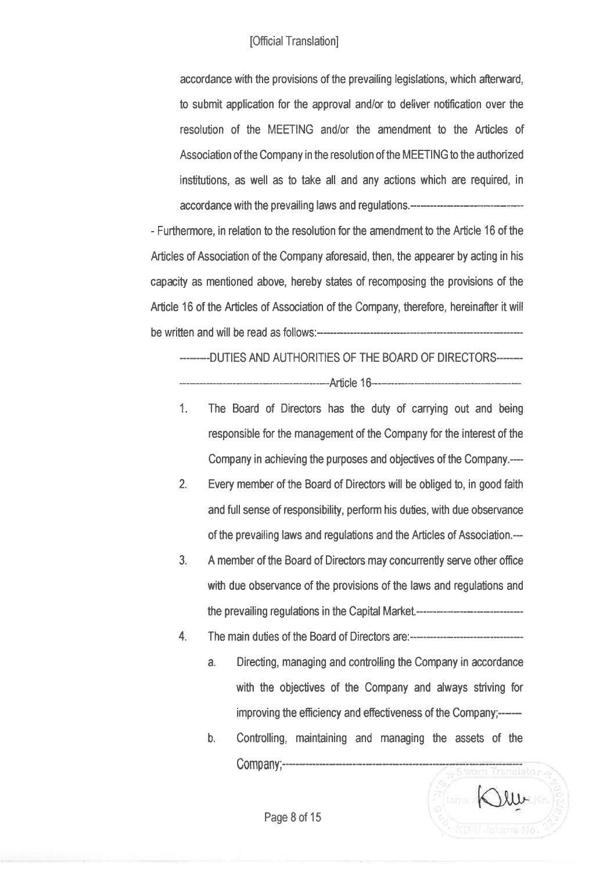accordance with the provisions of the prevailing legislations, which afterward, to submit application for the approval and/or to deliver notification over the resolution of the MEETING and/or the amendment to the Articles of Association of the Company in the resolution of the MEETING to the authorized institutions, as well as to take all and any actions which are required, in accordance with the prevailing laws and regulations.------------------

- Furthermore, in relation to the resolution for the amendment to the Article 16 of the Articles of Association of the Company aforesaid, then, the appearer by acting in his capacity as mentioned above, hereby states of recomposing the provisions of the Article 16 of the Articles of Association of the Company, therefore, hereinafter it will be written and will be read as follows:-

-------.DUTIES AND AUTHORITIES OF THE BOARD OF DIRECTORS------- Article 16--------

- 1. The Board of Directors has the duty of carrying out and being responsible for the management of the Company for the interest of the Company in achieving the purposes and objectives of the Company.--
- 2. Every member of the Board of Dirætors will be obliged to, in good faith and full sense of responsibility, perform his duties, with due observance of the prevailing laws and regulations and the Articles of Association.--
- 3. A member of the Board of Directors may concurrently serve other office with due observance of the provisions of the laws and regulatons and the prevailing regulations in the Capital Market---------------------------------
- 4. The main duties of the Board of Directors are:-------------------------------
	- a. Directing, managing and controlling the Company in accordance with the objectives of the Company and always striving for improving the efficiency and effectiveness of the Company;------
	- b. Controlling, maintaining and managing the assets of the Company;--------------------------------

Page 8 of 15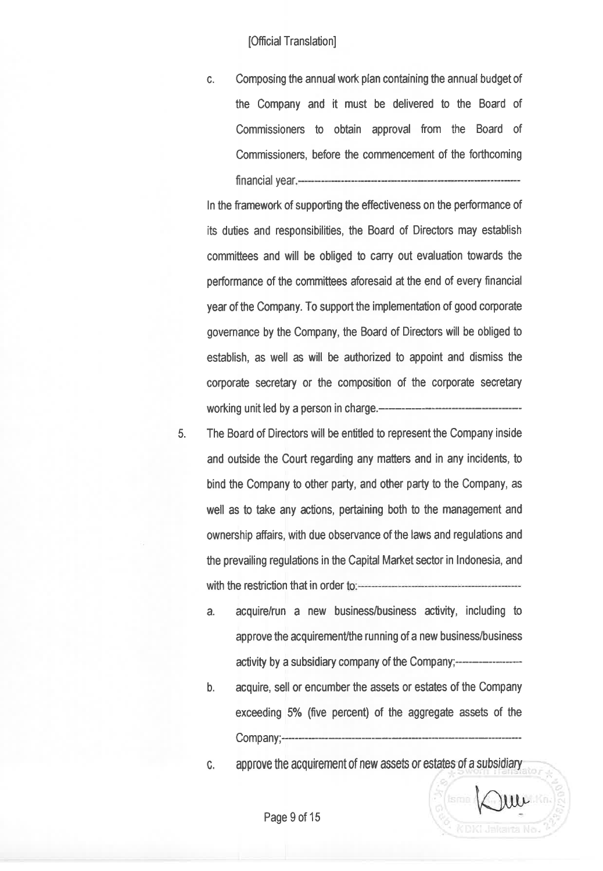c. Composing the annualwork plan containing the annual budget of the Company and it must be delivered to the Board of Commissioners to obtain approval from the Board of Commissioners, before the commencement of the forthcoming financial year

ln the framework of supporting the effectiveness on the performance of its duties and responsibilities, the Board of Directors may establish committees and will be obliged to carry out evaluation towards the performance of the committees aforesaid at the end of every financial year of the Company. To support the implementation of good corporate governance by the Company, the Board of Directors will be obliged to establish, as well as will be authorized to appoint and dismiss the corporate secretary or the composition of the corporate secretary working unit led by a person in charge.--

- 5. The Board of Directors will be entitled to represent the Company inside and outside the Court regarding any matters and in any incidents, to bind the Company to other party, and other party to the Company, as well as to take any ætions, pertaining both to the management and ownership affairs, with due observance of the laws and regulations and the prevailing regulations in the Capital Market sætor in lndonesia, and with the restriction that in order
	- a. acquire/run a new business/business activity, including to approve the acquirement/the running of a new business/business activity by a subsidiary company of the Company;--------
	- b. acquire, sell or encumber the assets or estates of the Company exceeding 5% (five percent) of the aggregate assets of the Company;-
	- c. approve the acquirement of new assets or estates of a subsidiary

 $1111$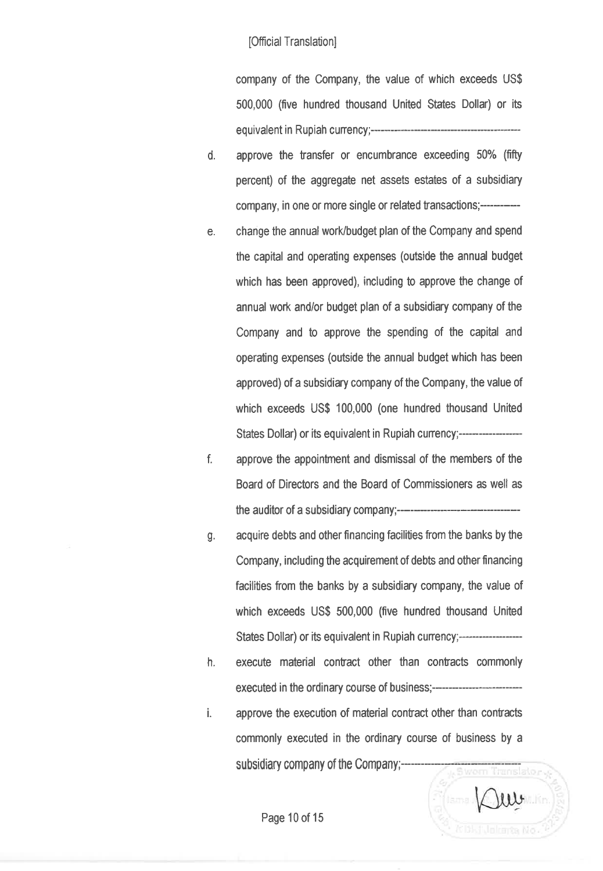company of the Company, the value of which exceeds US\$ 500,000 (five hundred thousand United States Dollar) or its equivalent in Rupiah currency;-----------------

- d. approve the transfer or encumbrance exceeding 50% (fifty percent) of the aggregate net assets estates of a subsidiary company, in one or more single or related transactions;-------
- e, change the annual work/budget plan ofthe Company and spend the capital and operating expenses (outside the annual budget which has been approved), including to approve the change of annual work and/or budget plan of a subsidiary company of the Company and to approve the spending of the capital and operating expenses (outside the annual budget which has been approved) of a subsidiary company of the Company, the value of which exceeds US\$ 100,000 (one hundred thousand United States Dollar) or its equivalent in Rupiah currency;----------------------------
- f. approve the appointment and dismissal of the members of the Board of Directors and the Board of Commissioners as well as the auditor of a subsidiary company;
- g. acquire debts and other financing facilities from the banks by the Company, including the acquirement of debts and other financing facilities from the banks by a subsidiary company, the value of which exceeds US\$ 500,000 (five hundred thousand United States Dollar) or its equivalent in Rupiah currency;--------------------
- h. execute material contract other than contracts commonly executed in the ordinary course of business;------------------
- i. approve the execution of material contract other than contracts commonly executed in the ordinary course of business by a subsidiary company of the Company;----------Translator

 $uv$ 

Page 10 of 15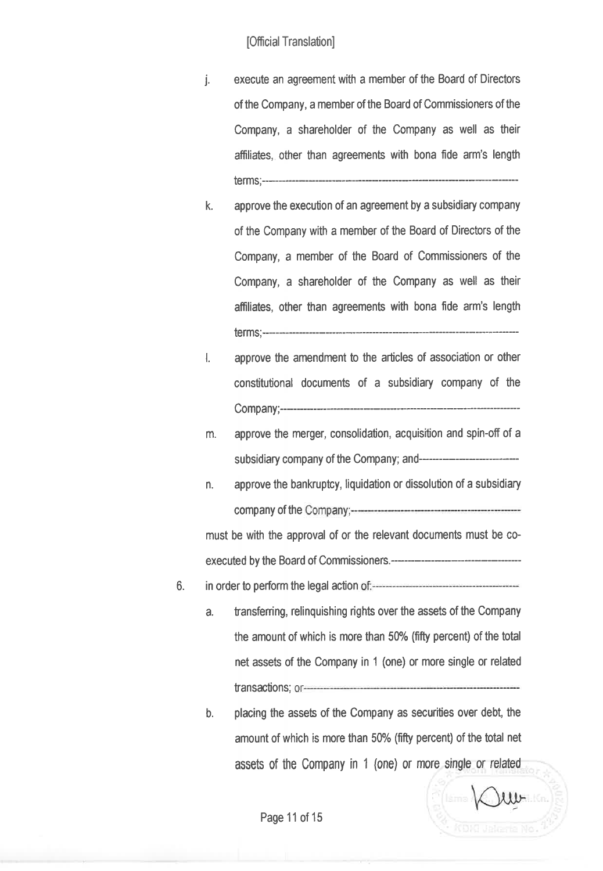- j. execute an agreement with a member of the Board of Directors of the Company, a member of the Board of Commissioners of the Company, a shareholder of the Company as well as their affiliates, other than agreements with bona fide arm's length terms;----
- k. approve the execution of an agreement by a subsidiary company of the Company with a member of the Board of Directors of the Company, a member of the Board of Commissioners of the Company, a shareholder of the Company as well as their affliates, other than agreements with bona fide arm's length terms;---:
- l. approve the amendment to the articles of association or other constitutional documents of a subsidiary company of the Company;-
- m. approve the merger, consolidation, acquisition and spin-0fi of <sup>a</sup> subsidiary company of the Company; and---
- n. approve the bankruptcy, liquidation or dissolution of a subsidiary company of the

must be with the approval of or the relevant documents must be coexecuted bythe Board of Commissioners

- ô. in order to perform the legal action
	- a. transferring, relinguishing rights over the assets of the Company the amount of which is more than 50% (fifty percent) of the total net assets of the Company in 1 (one) or more síngle or related transætions;
	- b. placing the assets of the Company as securities over debt, the amount of which is more than 50% (fifty percent) of the total net assets of the Company in 1 (one) or more single 0r related

 $uv$ 

Page 11 of 15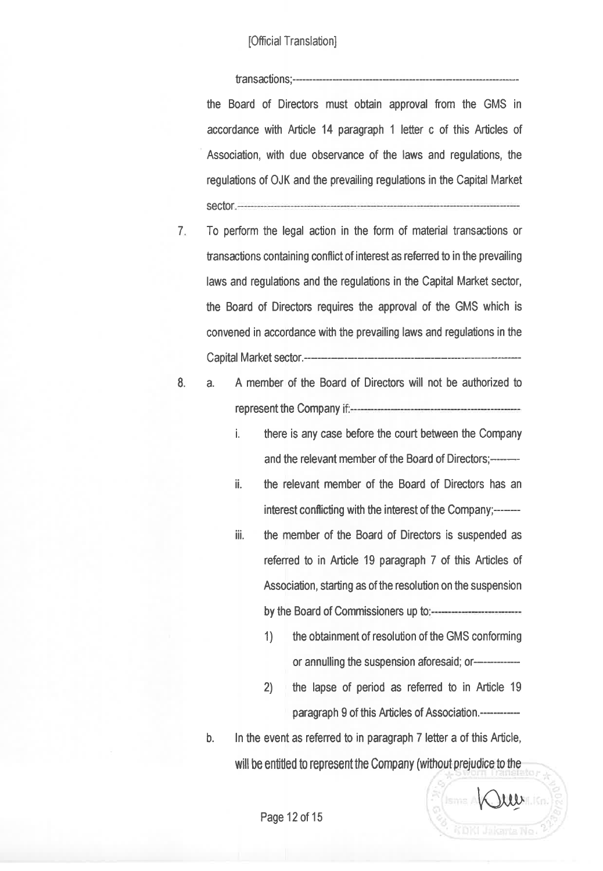tansactions;------- the Board of Directors must obtain approval from the GMS in accordance with Article 14 paragraph 1 letter c of this Articles of Association, with due observance of the laws and regulations, the regulations of 0JK and the prevailing regulations in the Capital Market sector

- 7 To perform the legal action in the form of material transætions or fansactions containing ænflict of interest as refened to in the prevailing laws and regulations and the regulations in the Capital Market sector, the Board of Directors requires the approval of the GMS which is convened in accordance with the prevailing laws and regulations in the Capital Market sætor.----
- 
- 8. a. <sup>A</sup>member of the Board of Directors will not be authorized to representthe Company
	- i. there is any case before the court between the Company and the relevant member of the Board of Directors;
	- ii. the relevant member of the Board of Directors has an interest conflicting with the interest of the Company;-------
	- iii. the member of the Board of Directors is suspended as refened to in Article 19 paragraph 7 of this Articles of Association, starting as of the resolution on the suspension by the Board of Commissioners up to
		- 1) the obtainment of resolution of the GMS conforming or annulling the suspension aforesaid; or--------------
		- 2) the lapse of period as refened to in Article <sup>19</sup> paragraph 9 of this Articles of Association.------------

**AQUESTER** 

b. ln the event as referred to in paragraph 7 letter a of this Article, will be entitled to represent the Company (without prejudice to the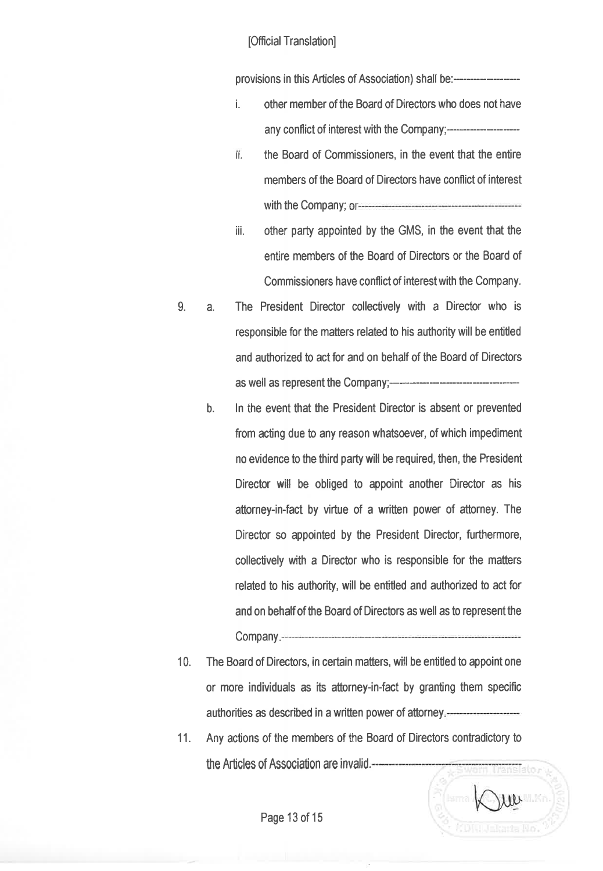provisíons ín this Articles of Assocíation) shalf be:-------

- i. other member of the Board of Directors who does not have any conflict of interest with the Company;-
- ii. the Board of Commissioners, in the event that the entire members of the Board of Dirætors have conflict of interest with the Company;
- iii. other party appointed by the GMS, in the event that the entire members of the Board of Directors or the Board of Commissioners have conflict of interest with the Company.
- 9. a. The President Director collectively with a Director who is responsible for the matters related to his authority will be entitled and authorized to act for and on behalf of the Board of Directors as well as represent the Company;-------
	- ln the event that the President Director is absent or prevented from acting due to any reason whatsoever, of which impediment no evidence to the third party will be required, then, the President Director will be obliged to appoint another Director as his attorney-in-fact by virtue of a written power of attorney. The Director so appointed by the President Director, furthermore, collectively with a Director who is responsible for the matters related to his authority, will be entiüed and authorized to act for and on behalf of the Board of Directors as well as to represent the b. Company
- 10. The Board of Directors, in certain matters, will be entiüed to appoint one or more individuals as its attorney-in-fact by granting them specific authorities as described in a written power of attorney
- 11. Any actions of the members of the Board of Directors contradictory to the Articles of Association are invalid. ranslato.

 $10$ 

Page 13 of 15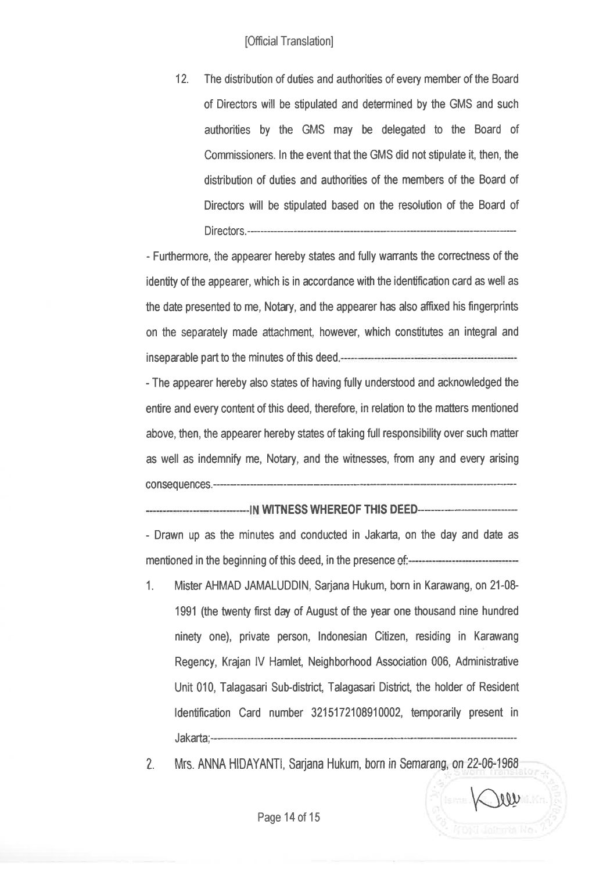12. The distribution of duties and authorities of every member of the Board of Directors will be stipulated and determined by the GMS and such authorities by the GMS may be delegated to the Board of Commissioners. ln the event that the GMS did not stipulate it, then, the distribution of duties and authorities of the members of the Board of Directors will be stipulated based on the resolution of the Board of Directors.--

- Furthermore, the appearer hereby states and fully wanants the correctness of the identity of the appearer, which is in accordance with the identification card as well as the date presented to me, Notary, and the appearer hæ also afüxed his fingerprints on the separately made attachment, however, which constitutes an integral and inseparable part to the minutes of this deed.

- The appearer hereby also states of having fully understood and acknowledged the entire and every content of this deed, therefore, in relation to the matters mentioned above, then, the appearer hereby states of taking full responsibility over such matter as well as indemnify me, Notary, and the witnesses, from any and every arising consequences.-------------

#### WTNESS WHEREOF THIS DEED

- Drawn up as the minutes and conducted in Jakarta, on the day and date as mentioned in the beginning of this deed, in the presence of  $\frac{1}{2}$ 

- 1. Mister AHMAD JAMALUDDIN, Sarjana Hukum, born in Karawang, on 21-08- 1991 (the twenty first day of August of the year one thousand nine hundred ninety one), private person, lndonesian Citizen, residing in Karawang Regency, Krajan IV Hamlet, Neighborhood Association 006, Administrative Unit 010, Talagasari Sub-district, Talagasari District the holder of Resident ldentification Card number 3215172108910002, temporarily present in Jakarta;---
- 2. Mrs. ANNA HIDAYANTI, Sarjana Hukum, born in Semarang, on 22-06-1968

 $V$